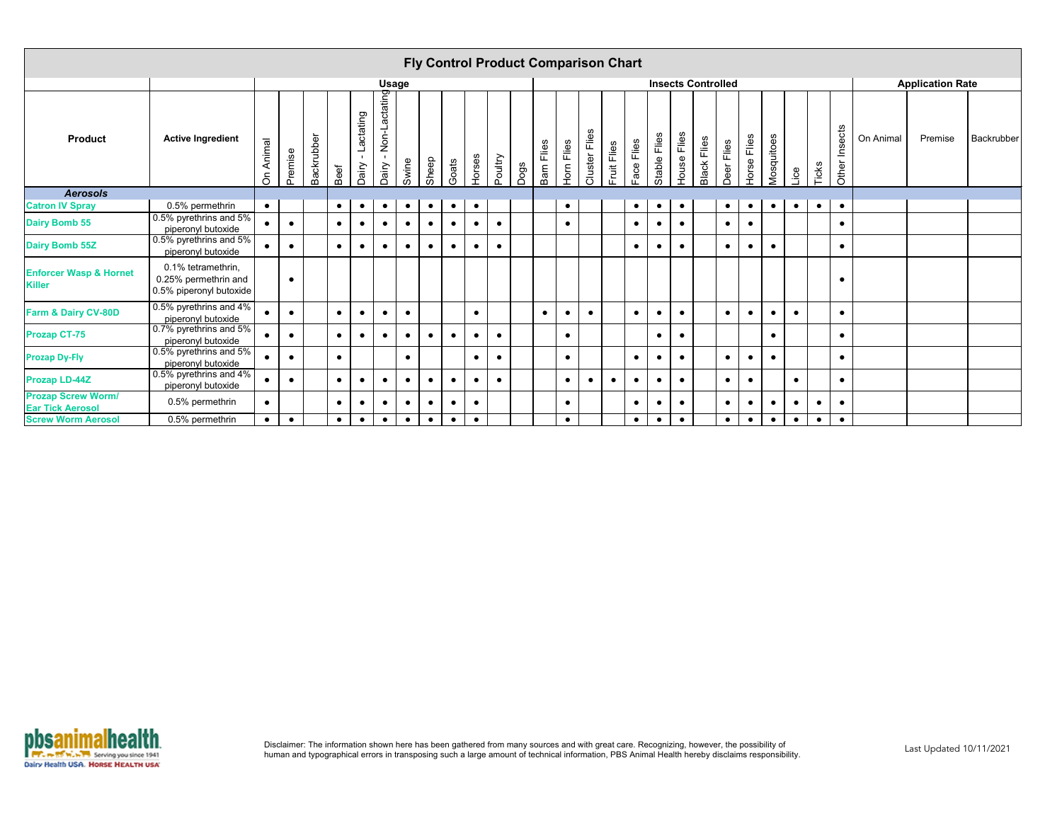|                                                      |                                                                       |                          |           |            |           |                                      |                                        |           |           |           |           |           |      |            |           | <b>Fly Control Product Comparison Chart</b> |             |            |              |             |                           |            |                |            |           |           |               |           |                         |                   |
|------------------------------------------------------|-----------------------------------------------------------------------|--------------------------|-----------|------------|-----------|--------------------------------------|----------------------------------------|-----------|-----------|-----------|-----------|-----------|------|------------|-----------|---------------------------------------------|-------------|------------|--------------|-------------|---------------------------|------------|----------------|------------|-----------|-----------|---------------|-----------|-------------------------|-------------------|
|                                                      |                                                                       |                          |           |            |           |                                      | <b>Usage</b>                           |           |           |           |           |           |      |            |           |                                             |             |            |              |             | <b>Insects Controlled</b> |            |                |            |           |           |               |           | <b>Application Rate</b> |                   |
| <b>Product</b>                                       | <b>Active Ingredient</b>                                              | Animal<br>$\overline{5}$ | Premise   | Backrubber | Beef      | Lactating<br>$\sim 10^{-1}$<br>Dairy | Non-Lactating<br>$\mathbf{L}$<br>Dairy | Swine     | Sheep     | Goats     | Horses    | Poultry   | Dogs | Barn Flies | Hom Flies | Cluster Flies                               | Fruit Flies | Face Flies | Stable Flies | House Flies | <b>Black Flies</b>        | Deer Flies | Flies<br>Horse | Mosquitoes | Lice      | Ticks     | Other Insects | On Animal | Premise                 | <b>Backrubber</b> |
| <b>Aerosols</b>                                      |                                                                       |                          |           |            |           |                                      |                                        |           |           |           |           |           |      |            |           |                                             |             |            |              |             |                           |            |                |            |           |           |               |           |                         |                   |
| <b>Catron IV Spray</b>                               | 0.5% permethrin                                                       | $\bullet$                |           |            | $\bullet$ | $\bullet$                            | $\bullet$                              | $\bullet$ | $\bullet$ | $\bullet$ | $\bullet$ |           |      |            | $\bullet$ |                                             |             | $\bullet$  | $\bullet$    | $\bullet$   |                           | $\bullet$  | $\bullet$      | $\bullet$  | $\bullet$ | $\bullet$ | $\bullet$     |           |                         |                   |
| <b>Dairy Bomb 55</b>                                 | 0.5% pyrethrins and 5%<br>piperonyl butoxide                          | $\bullet$                | $\bullet$ |            | $\bullet$ | $\bullet$                            | $\bullet$                              | $\bullet$ | $\bullet$ | $\bullet$ | $\bullet$ | $\bullet$ |      |            | $\bullet$ |                                             |             | $\bullet$  | $\bullet$    | $\bullet$   |                           | $\bullet$  | $\bullet$      |            |           |           | $\bullet$     |           |                         |                   |
| <b>Dairy Bomb 55Z</b>                                | 0.5% pyrethrins and 5%<br>piperonyl butoxide                          | $\bullet$                | $\bullet$ |            | $\bullet$ | $\bullet$                            | $\bullet$                              | $\bullet$ | $\bullet$ | $\bullet$ | $\bullet$ | $\bullet$ |      |            |           |                                             |             | $\bullet$  | $\bullet$    | $\bullet$   |                           | $\bullet$  | $\bullet$      | $\bullet$  |           |           | $\bullet$     |           |                         |                   |
| <b>Enforcer Wasp &amp; Hornet</b><br><b>Killer</b>   | 0.1% tetramethrin,<br>0.25% permethrin and<br>0.5% piperonyl butoxide |                          | $\bullet$ |            |           |                                      |                                        |           |           |           |           |           |      |            |           |                                             |             |            |              |             |                           |            |                |            |           |           | $\bullet$     |           |                         |                   |
| Farm & Dairy CV-80D                                  | 0.5% pyrethrins and 4%<br>piperonyl butoxide                          | $\bullet$                | $\bullet$ |            | $\bullet$ | $\bullet$                            | $\bullet$                              | $\bullet$ |           |           | $\bullet$ |           |      | $\bullet$  | $\bullet$ | $\bullet$                                   |             | $\bullet$  |              | $\bullet$   |                           | $\bullet$  | $\bullet$      | $\bullet$  | $\bullet$ |           | $\bullet$     |           |                         |                   |
| <b>Prozap CT-75</b>                                  | 0.7% pyrethrins and 5%<br>piperonyl butoxide                          | $\bullet$                | $\bullet$ |            | $\bullet$ | $\bullet$                            | $\bullet$                              | $\bullet$ | $\bullet$ | $\bullet$ | $\bullet$ | $\bullet$ |      |            | $\bullet$ |                                             |             |            | $\bullet$    | $\bullet$   |                           |            |                | $\bullet$  |           |           | $\bullet$     |           |                         |                   |
| <b>Prozap Dy-Fly</b>                                 | 0.5% pyrethrins and 5%<br>piperonyl butoxide                          | $\bullet$                | $\bullet$ |            | $\bullet$ |                                      |                                        | $\bullet$ |           |           | $\bullet$ |           |      |            | $\bullet$ |                                             |             | $\bullet$  |              | $\bullet$   |                           | $\bullet$  | $\bullet$      | $\bullet$  |           |           | $\bullet$     |           |                         |                   |
| <b>Prozap LD-44Z</b>                                 | 0.5% pyrethrins and 4%<br>piperonyl butoxide                          | $\bullet$                | $\bullet$ |            | $\bullet$ | $\bullet$                            | $\bullet$                              | $\bullet$ | $\bullet$ | $\bullet$ | $\bullet$ | $\bullet$ |      |            | $\bullet$ | $\bullet$                                   | $\bullet$   | $\bullet$  | $\bullet$    | $\bullet$   |                           | $\bullet$  | $\bullet$      |            | $\bullet$ |           | $\bullet$     |           |                         |                   |
| <b>Prozap Screw Worm/</b><br><b>Ear Tick Aerosol</b> | 0.5% permethrin                                                       | $\bullet$                |           |            | $\bullet$ | $\bullet$                            | $\bullet$                              | $\bullet$ | $\bullet$ | $\bullet$ | $\bullet$ |           |      |            | $\bullet$ |                                             |             | $\bullet$  | $\bullet$    | $\bullet$   |                           | $\bullet$  | $\bullet$      | $\bullet$  | $\bullet$ | $\bullet$ | $\bullet$     |           |                         |                   |
| <b>Screw Worm Aerosol</b>                            | 0.5% permethrin                                                       | $\bullet$                | $\bullet$ |            | $\bullet$ | $\bullet$                            | $\bullet$                              | $\bullet$ | $\bullet$ | $\bullet$ | $\bullet$ |           |      |            | $\bullet$ |                                             |             | $\bullet$  | $\bullet$    | $\bullet$   |                           | $\bullet$  | $\bullet$      | $\bullet$  | $\bullet$ | $\bullet$ | $\bullet$     |           |                         |                   |

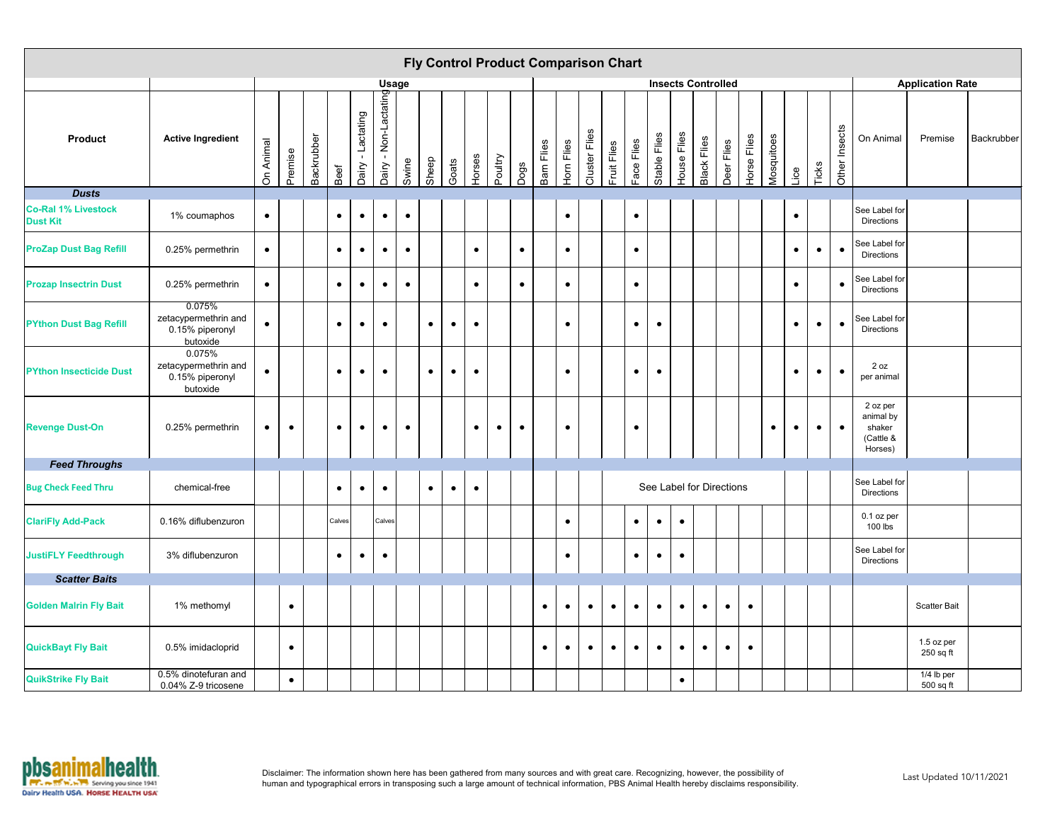|                                               |                                                               |           |           |            |           |                   |                                        |           |           |           |           |           |             |            |            |               | <b>Fly Control Product Comparison Chart</b> |            |              |             |                           |            |             |            |           |           |               |                                                         |                         |            |
|-----------------------------------------------|---------------------------------------------------------------|-----------|-----------|------------|-----------|-------------------|----------------------------------------|-----------|-----------|-----------|-----------|-----------|-------------|------------|------------|---------------|---------------------------------------------|------------|--------------|-------------|---------------------------|------------|-------------|------------|-----------|-----------|---------------|---------------------------------------------------------|-------------------------|------------|
|                                               |                                                               |           |           |            |           |                   | <b>Usage</b>                           |           |           |           |           |           |             |            |            |               |                                             |            |              |             | <b>Insects Controlled</b> |            |             |            |           |           |               |                                                         | <b>Application Rate</b> |            |
| <b>Product</b>                                | <b>Active Ingredient</b>                                      | On Animal | Premise   | Backrubber | Beef      | Dairy - Lactating | Non-Lactating<br>$\mathbf{I}$<br>Dairy | Swine     | Sheep     | Goats     | Horses    | Poultry   | <b>Pogs</b> | Barn Flies | Horn Flies | Cluster Flies | Fruit Flies                                 | Face Flies | Stable Flies | House Flies | <b>Black Flies</b>        | Deer Flies | Horse Flies | Mosquitoes | Lice      | Ticks     | Other Insects | On Animal                                               | Premise                 | Backrubber |
| <b>Dusts</b>                                  |                                                               |           |           |            |           |                   |                                        |           |           |           |           |           |             |            |            |               |                                             |            |              |             |                           |            |             |            |           |           |               |                                                         |                         |            |
| <b>Co-Ral 1% Livestock</b><br><b>Dust Kit</b> | 1% coumaphos                                                  | $\bullet$ |           |            | $\bullet$ | $\bullet$         | $\bullet$                              | $\bullet$ |           |           |           |           |             |            | $\bullet$  |               |                                             | $\bullet$  |              |             |                           |            |             |            | $\bullet$ |           |               | See Label for<br><b>Directions</b>                      |                         |            |
| <b>ProZap Dust Bag Refill</b>                 | 0.25% permethrin                                              | $\bullet$ |           |            | $\bullet$ | $\bullet$         | $\bullet$                              | $\bullet$ |           |           | $\bullet$ |           | $\bullet$   |            | $\bullet$  |               |                                             | $\bullet$  |              |             |                           |            |             |            | $\bullet$ | $\bullet$ | $\bullet$     | See Label for<br><b>Directions</b>                      |                         |            |
| <b>Prozap Insectrin Dust</b>                  | 0.25% permethrin                                              | $\bullet$ |           |            | $\bullet$ | $\bullet$         | $\bullet$                              | $\bullet$ |           |           | $\bullet$ |           | $\bullet$   |            | $\bullet$  |               |                                             | $\bullet$  |              |             |                           |            |             |            | $\bullet$ |           | $\bullet$     | See Label for<br>Directions                             |                         |            |
| <b>PYthon Dust Bag Refill</b>                 | 0.075%<br>zetacypermethrin and<br>0.15% piperonyl<br>butoxide | $\bullet$ |           |            | $\bullet$ | $\bullet$         | $\bullet$                              |           | $\bullet$ | $\bullet$ | $\bullet$ |           |             |            | $\bullet$  |               |                                             | $\bullet$  | $\bullet$    |             |                           |            |             |            | $\bullet$ | $\bullet$ | $\bullet$     | See Label for<br>Directions                             |                         |            |
| <b>PYthon Insecticide Dust</b>                | 0.075%<br>zetacypermethrin and<br>0.15% piperonyl<br>butoxide | $\bullet$ |           |            | $\bullet$ | $\bullet$         | $\bullet$                              |           | $\bullet$ | $\bullet$ | $\bullet$ |           |             |            | $\bullet$  |               |                                             | $\bullet$  | $\bullet$    |             |                           |            |             |            | $\bullet$ | $\bullet$ | $\bullet$     | 2 oz<br>per animal                                      |                         |            |
| <b>Revenge Dust-On</b>                        | 0.25% permethrin                                              | $\bullet$ | $\bullet$ |            | $\bullet$ | $\bullet$         | $\bullet$                              | $\bullet$ |           |           | $\bullet$ | $\bullet$ | $\bullet$   |            | $\bullet$  |               |                                             | $\bullet$  |              |             |                           |            |             | $\bullet$  | $\bullet$ | $\bullet$ | $\bullet$     | 2 oz per<br>animal by<br>shaker<br>(Cattle &<br>Horses) |                         |            |
| <b>Feed Throughs</b>                          |                                                               |           |           |            |           |                   |                                        |           |           |           |           |           |             |            |            |               |                                             |            |              |             |                           |            |             |            |           |           |               |                                                         |                         |            |
| <b>Bug Check Feed Thru</b>                    | chemical-free                                                 |           |           |            | $\bullet$ | $\bullet$         | $\bullet$                              |           | $\bullet$ | $\bullet$ | $\bullet$ |           |             |            |            |               |                                             |            |              |             | See Label for Directions  |            |             |            |           |           |               | See Label for<br>Directions                             |                         |            |
| <b>ClariFly Add-Pack</b>                      | 0.16% diflubenzuron                                           |           |           |            | Calves    |                   | Calves                                 |           |           |           |           |           |             |            | $\bullet$  |               |                                             | $\bullet$  | $\bullet$    | $\bullet$   |                           |            |             |            |           |           |               | 0.1 oz per<br>100 lbs                                   |                         |            |
| <b>JustiFLY Feedthrough</b>                   | 3% diflubenzuron                                              |           |           |            | $\bullet$ | $\bullet$         | $\bullet$                              |           |           |           |           |           |             |            | $\bullet$  |               |                                             | $\bullet$  | $\bullet$    | $\bullet$   |                           |            |             |            |           |           |               | See Label for<br>Directions                             |                         |            |
| <b>Scatter Baits</b>                          |                                                               |           |           |            |           |                   |                                        |           |           |           |           |           |             |            |            |               |                                             |            |              |             |                           |            |             |            |           |           |               |                                                         |                         |            |
| <b>Golden Malrin Fly Bait</b>                 | 1% methomyl                                                   |           | $\bullet$ |            |           |                   |                                        |           |           |           |           |           |             | $\bullet$  | $\bullet$  | $\bullet$     | $\bullet$                                   | $\bullet$  | $\bullet$    | $\bullet$   | $\bullet$                 | $\bullet$  | $\bullet$   |            |           |           |               |                                                         | <b>Scatter Bait</b>     |            |
| <b>QuickBayt Fly Bait</b>                     | 0.5% imidacloprid                                             |           | $\bullet$ |            |           |                   |                                        |           |           |           |           |           |             | $\bullet$  | $\bullet$  | $\bullet$     | $\bullet$                                   | $\bullet$  | $\bullet$    | $\bullet$   | $\bullet$                 | $\bullet$  | $\bullet$   |            |           |           |               |                                                         | 1.5 oz per<br>250 sq ft |            |
| <b>QuikStrike Fly Bait</b>                    | 0.5% dinotefuran and<br>0.04% Z-9 tricosene                   |           | $\bullet$ |            |           |                   |                                        |           |           |           |           |           |             |            |            |               |                                             |            |              | $\bullet$   |                           |            |             |            |           |           |               |                                                         | 1/4 lb per<br>500 sq ft |            |

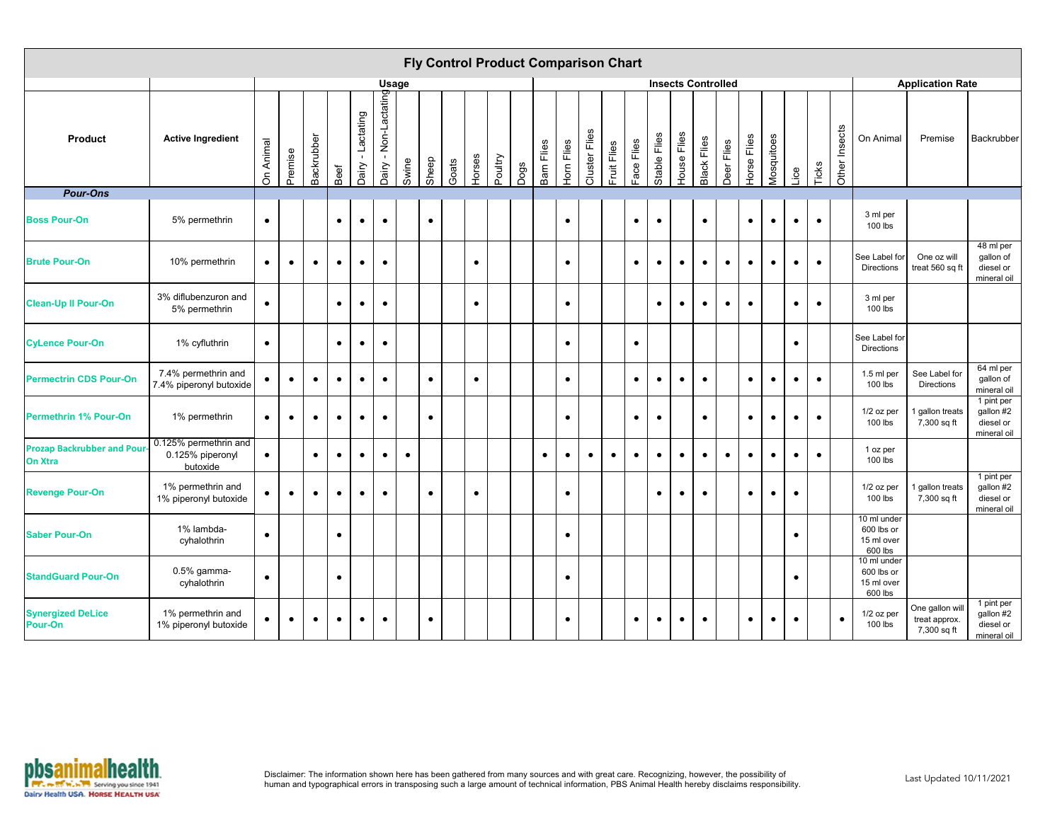|                                                      |                                                       |           |           |            |           |                      |                                        |              |           | <b>Fly Control Product Comparison Chart</b> |           |         |      |            |            |               |             |            |              |                           |                    |            |                |            |           |           |                  |                                                    |                                                 |                                                       |
|------------------------------------------------------|-------------------------------------------------------|-----------|-----------|------------|-----------|----------------------|----------------------------------------|--------------|-----------|---------------------------------------------|-----------|---------|------|------------|------------|---------------|-------------|------------|--------------|---------------------------|--------------------|------------|----------------|------------|-----------|-----------|------------------|----------------------------------------------------|-------------------------------------------------|-------------------------------------------------------|
|                                                      |                                                       |           |           |            |           |                      |                                        | <b>Usage</b> |           |                                             |           |         |      |            |            |               |             |            |              | <b>Insects Controlled</b> |                    |            |                |            |           |           |                  |                                                    | <b>Application Rate</b>                         |                                                       |
| <b>Product</b>                                       | <b>Active Ingredient</b>                              | On Animal | Premise   | Backrubber | Beef      | - Lactating<br>Dairy | Non-Lactating<br>$\mathbf{H}$<br>Dairy | Swine        | Sheep     | Goats                                       | Horses    | Poultry | Dogs | Barn Flies | Horn Flies | Cluster Flies | Fruit Flies | Face Flies | Stable Flies | House Flies               | <b>Black Flies</b> | Deer Flies | Flies<br>Horse | Mosquitoes | Lice      | Ticks     | Insects<br>Other | On Animal                                          | Premise                                         | Backrubber                                            |
| <b>Pour-Ons</b>                                      |                                                       |           |           |            |           |                      |                                        |              |           |                                             |           |         |      |            |            |               |             |            |              |                           |                    |            |                |            |           |           |                  |                                                    |                                                 |                                                       |
| <b>Boss Pour-On</b>                                  | 5% permethrin                                         | $\bullet$ |           |            | $\bullet$ | $\bullet$            | $\bullet$                              |              | $\bullet$ |                                             |           |         |      |            | $\bullet$  |               |             | $\bullet$  | $\bullet$    |                           | $\bullet$          |            | $\bullet$      | $\bullet$  | $\bullet$ | $\bullet$ |                  | 3 ml per<br>$100$ lbs                              |                                                 |                                                       |
| <b>Brute Pour-On</b>                                 | 10% permethrin                                        | $\bullet$ | $\bullet$ | $\bullet$  | $\bullet$ | $\bullet$            | $\bullet$                              |              |           |                                             | $\bullet$ |         |      |            | $\bullet$  |               |             | $\bullet$  | $\bullet$    | $\bullet$                 | $\bullet$          | $\bullet$  | $\bullet$      | $\bullet$  | $\bullet$ | $\bullet$ |                  | See Label for<br>Directions                        | One oz will<br>treat 560 sq ft                  | 48 ml per<br>gallon of<br>diesel or<br>mineral oil    |
| <b>Clean-Up II Pour-On</b>                           | 3% diflubenzuron and<br>5% permethrin                 | $\bullet$ |           |            | $\bullet$ | $\bullet$            | $\bullet$                              |              |           |                                             | $\bullet$ |         |      |            | $\bullet$  |               |             |            | $\bullet$    | $\bullet$                 | $\bullet$          | $\bullet$  | $\bullet$      |            | $\bullet$ | $\bullet$ |                  | 3 ml per<br>$100$ lbs                              |                                                 |                                                       |
| <b>CyLence Pour-On</b>                               | 1% cyfluthrin                                         | $\bullet$ |           |            | $\bullet$ | $\bullet$            | $\bullet$                              |              |           |                                             |           |         |      |            | $\bullet$  |               |             | $\bullet$  |              |                           |                    |            |                |            | $\bullet$ |           |                  | See Label for<br><b>Directions</b>                 |                                                 |                                                       |
| <b>Permectrin CDS Pour-On</b>                        | 7.4% permethrin and<br>7.4% piperonyl butoxide        | $\bullet$ | $\bullet$ | $\bullet$  | $\bullet$ | $\bullet$            | $\bullet$                              |              | $\bullet$ |                                             | $\bullet$ |         |      |            | $\bullet$  |               |             | $\bullet$  | $\bullet$    | $\bullet$                 | $\bullet$          |            | $\bullet$      | $\bullet$  | $\bullet$ | $\bullet$ |                  | 1.5 ml per<br>100 lbs                              | See Label for<br><b>Directions</b>              | 64 ml per<br>gallon of<br>mineral oil                 |
| <b>Permethrin 1% Pour-On</b>                         | 1% permethrin                                         | $\bullet$ | $\bullet$ | $\bullet$  | $\bullet$ | $\bullet$            | $\bullet$                              |              | $\bullet$ |                                             |           |         |      |            | $\bullet$  |               |             | $\bullet$  | $\bullet$    |                           | $\bullet$          |            | $\bullet$      | $\bullet$  | $\bullet$ | $\bullet$ |                  | 1/2 oz per<br>100 lbs                              | 1 gallon treats<br>7,300 sq ft                  | 1 pint per<br>gallon #2<br>diesel or<br>mineral oil   |
| <b>Prozap Backrubber and Pour-</b><br><b>On Xtra</b> | 0.125% permethrin and<br>0.125% piperonyl<br>butoxide | $\bullet$ |           | $\bullet$  | $\bullet$ | $\bullet$            | $\bullet$                              | $\bullet$    |           |                                             |           |         |      | $\bullet$  | $\bullet$  | $\bullet$     | $\bullet$   | $\bullet$  | $\bullet$    | $\bullet$                 | $\bullet$          | $\bullet$  | $\bullet$      | $\bullet$  | $\bullet$ | $\bullet$ |                  | 1 oz per<br>100 lbs                                |                                                 |                                                       |
| <b>Revenge Pour-On</b>                               | 1% permethrin and<br>1% piperonyl butoxide            | $\bullet$ | $\bullet$ | $\bullet$  | $\bullet$ | $\bullet$            | $\bullet$                              |              | $\bullet$ |                                             | $\bullet$ |         |      |            | $\bullet$  |               |             |            | $\bullet$    | $\bullet$                 | $\bullet$          |            | $\bullet$      | $\bullet$  | $\bullet$ |           |                  | 1/2 oz per<br>100 lbs                              | 1 gallon treats<br>7,300 sq ft                  | $1$ pint per<br>gallon #2<br>diesel or<br>mineral oil |
| <b>Saber Pour-On</b>                                 | 1% lambda-<br>cyhalothrin                             | $\bullet$ |           |            | $\bullet$ |                      |                                        |              |           |                                             |           |         |      |            | $\bullet$  |               |             |            |              |                           |                    |            |                |            | $\bullet$ |           |                  | 10 ml under<br>600 lbs or<br>15 ml over<br>600 lbs |                                                 |                                                       |
| <b>StandGuard Pour-On</b>                            | 0.5% gamma-<br>cyhalothrin                            | $\bullet$ |           |            | $\bullet$ |                      |                                        |              |           |                                             |           |         |      |            | $\bullet$  |               |             |            |              |                           |                    |            |                |            | $\bullet$ |           |                  | 10 ml under<br>600 lbs or<br>15 ml over<br>600 lbs |                                                 |                                                       |
| <b>Synergized DeLice</b><br><b>Pour-On</b>           | 1% permethrin and<br>1% piperonyl butoxide            | $\bullet$ | $\bullet$ | $\bullet$  | $\bullet$ | $\bullet$            | $\bullet$                              |              | $\bullet$ |                                             |           |         |      |            | $\bullet$  |               |             | $\bullet$  | $\bullet$    | $\bullet$                 | $\bullet$          |            | $\bullet$      | $\bullet$  | $\bullet$ |           | $\bullet$        | 1/2 oz per<br>100 lbs                              | One gallon will<br>treat approx.<br>7,300 sq ft | 1 pint per<br>gallon #2<br>diesel or<br>mineral oil   |

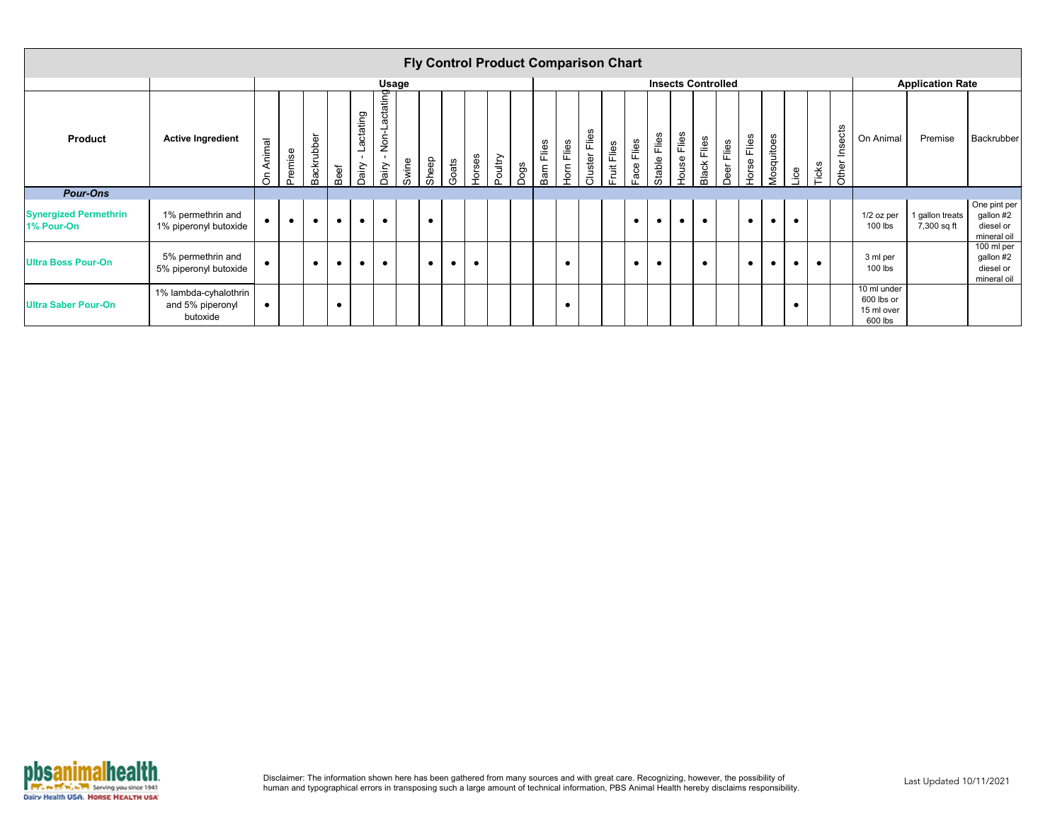|                                            |                                                       |           |           |            |           |                                    |                        |              |           |           |           |         | <b>Fly Control Product Comparison Chart</b> |            |            |               |             |               |              |                    |                    |                           |             |            |           |           |                     |                                                    |                                |                                                       |
|--------------------------------------------|-------------------------------------------------------|-----------|-----------|------------|-----------|------------------------------------|------------------------|--------------|-----------|-----------|-----------|---------|---------------------------------------------|------------|------------|---------------|-------------|---------------|--------------|--------------------|--------------------|---------------------------|-------------|------------|-----------|-----------|---------------------|----------------------------------------------------|--------------------------------|-------------------------------------------------------|
|                                            |                                                       |           |           |            |           |                                    |                        | <b>Usage</b> |           |           |           |         |                                             |            |            |               |             |               |              |                    |                    | <b>Insects Controlled</b> |             |            |           |           |                     |                                                    | <b>Application Rate</b>        |                                                       |
| <b>Product</b>                             | <b>Active Ingredient</b>                              | On Animal | Premise   | Backrubber | Beef      | Lactating<br>$\mathbf{L}$<br>Dairy | Non-Lactating<br>Dairy | Swine        | Sheep     | Goats     | Horses    | Poultry | Dogs                                        | Barn Flies | Horn Flies | Cluster Flies | Fruit Flies | Flies<br>Face | Stable Flies | <b>House Flies</b> | <b>Black Flies</b> | Deer Flies                | Horse Flies | Mosquitoes | Lice      | Ticks     | sects<br>트<br>Other | On Animal                                          | Premise                        | Backrubber                                            |
| <b>Pour-Ons</b>                            |                                                       |           |           |            |           |                                    |                        |              |           |           |           |         |                                             |            |            |               |             |               |              |                    |                    |                           |             |            |           |           |                     |                                                    |                                |                                                       |
| <b>Synergized Permethrin</b><br>1% Pour-On | 1% permethrin and<br>1% piperonyl butoxide            | $\bullet$ | $\bullet$ | $\bullet$  | $\bullet$ | $\bullet$                          | $\bullet$              |              | $\bullet$ |           |           |         |                                             |            |            |               |             | $\bullet$     | $\bullet$    | $\bullet$          | $\bullet$          |                           | $\bullet$   | $\bullet$  | $\bullet$ |           |                     | $1/2$ oz per<br>$100$ lbs                          | 1 gallon treats<br>7,300 sq ft | One pint per<br>gallon #2<br>diesel or<br>mineral oil |
| <b>Ultra Boss Pour-On</b>                  | 5% permethrin and<br>5% piperonyl butoxide            | $\bullet$ |           | $\bullet$  | $\bullet$ | $\bullet$                          | $\bullet$              |              | $\bullet$ | $\bullet$ | $\bullet$ |         |                                             |            | $\bullet$  |               |             | $\bullet$     | $\bullet$    |                    | $\bullet$          |                           | $\bullet$   | $\bullet$  | $\bullet$ | $\bullet$ |                     | 3 ml per<br>$100$ lbs                              |                                | 100 ml per<br>gallon #2<br>diesel or<br>mineral oil   |
| <b>Ultra Saber Pour-On</b>                 | 1% lambda-cyhalothrin<br>and 5% piperonyl<br>butoxide | $\bullet$ |           |            |           |                                    |                        |              |           |           |           |         |                                             |            |            |               |             |               |              |                    |                    |                           |             |            |           |           |                     | 10 ml under<br>600 lbs or<br>15 ml over<br>600 lbs |                                |                                                       |

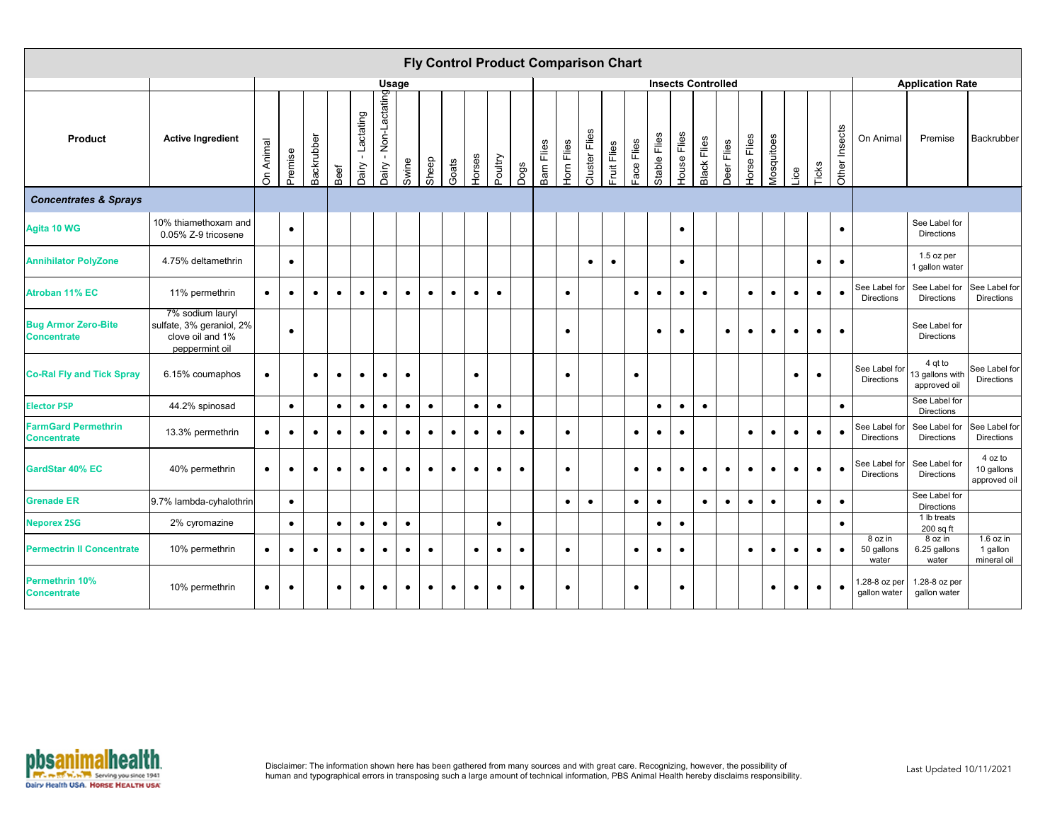|                                                  |                                                                                    |           |           |            |           |                                    |                                        |              |           |           |           |           |           |            | <b>Fly Control Product Comparison Chart</b> |               |             |            |              |             |                           |            |             |            |           |           |               |                                    |                                               |                                        |
|--------------------------------------------------|------------------------------------------------------------------------------------|-----------|-----------|------------|-----------|------------------------------------|----------------------------------------|--------------|-----------|-----------|-----------|-----------|-----------|------------|---------------------------------------------|---------------|-------------|------------|--------------|-------------|---------------------------|------------|-------------|------------|-----------|-----------|---------------|------------------------------------|-----------------------------------------------|----------------------------------------|
|                                                  |                                                                                    |           |           |            |           |                                    |                                        | <b>Usage</b> |           |           |           |           |           |            |                                             |               |             |            |              |             | <b>Insects Controlled</b> |            |             |            |           |           |               |                                    | <b>Application Rate</b>                       |                                        |
| <b>Product</b>                                   | <b>Active Ingredient</b>                                                           | On Animal | Premise   | Backrubber | Beef      | Lactating<br>$\mathbf{L}$<br>Dairy | Non-Lactating<br>$\mathbf{L}$<br>Dairy | Swine        | Sheep     | Goats     | Horses    | Poultry   | Dogs      | Barn Flies | Hom Flies                                   | Cluster Flies | Fruit Flies | Face Flies | Stable Flies | House Flies | <b>Black Flies</b>        | Deer Flies | Horse Flies | Mosquitoes | Lice      | Ticks     | Other Insects | On Animal                          | Premise                                       | Backrubber                             |
| <b>Concentrates &amp; Sprays</b>                 |                                                                                    |           |           |            |           |                                    |                                        |              |           |           |           |           |           |            |                                             |               |             |            |              |             |                           |            |             |            |           |           |               |                                    |                                               |                                        |
| <b>Agita 10 WG</b>                               | 10% thiamethoxam and<br>0.05% Z-9 tricosene                                        |           | $\bullet$ |            |           |                                    |                                        |              |           |           |           |           |           |            |                                             |               |             |            |              | $\bullet$   |                           |            |             |            |           |           | $\bullet$     |                                    | See Label for<br><b>Directions</b>            |                                        |
| <b>Annihilator PolyZone</b>                      | 4.75% deltamethrin                                                                 |           | $\bullet$ |            |           |                                    |                                        |              |           |           |           |           |           |            |                                             | $\bullet$     | $\bullet$   |            |              | $\bullet$   |                           |            |             |            |           | $\bullet$ | $\bullet$     |                                    | 1.5 oz per<br>1 gallon water                  |                                        |
| <b>Atroban 11% EC</b>                            | 11% permethrin                                                                     | $\bullet$ | $\bullet$ | $\bullet$  | $\bullet$ | $\bullet$                          | $\bullet$                              | $\bullet$    | $\bullet$ | $\bullet$ | $\bullet$ | $\bullet$ |           |            | $\bullet$                                   |               |             | $\bullet$  | $\bullet$    | $\bullet$   | $\bullet$                 |            | $\bullet$   |            | $\bullet$ | $\bullet$ |               | See Label for<br><b>Directions</b> | See Label for<br><b>Directions</b>            | See Label for<br><b>Directions</b>     |
| <b>Bug Armor Zero-Bite</b><br><b>Concentrate</b> | 7% sodium lauryl<br>sulfate, 3% geraniol, 2%<br>clove oil and 1%<br>peppermint oil |           | $\bullet$ |            |           |                                    |                                        |              |           |           |           |           |           |            | $\bullet$                                   |               |             |            | $\bullet$    | $\bullet$   |                           | $\bullet$  | $\bullet$   | $\bullet$  | $\bullet$ | $\bullet$ | $\bullet$     |                                    | See Label for<br><b>Directions</b>            |                                        |
| <b>Co-Ral Fly and Tick Spray</b>                 | 6.15% coumaphos                                                                    | $\bullet$ |           | $\bullet$  | $\bullet$ | $\bullet$                          | $\bullet$                              | $\bullet$    |           |           | $\bullet$ |           |           |            | $\bullet$                                   |               |             | $\bullet$  |              |             |                           |            |             |            | $\bullet$ | $\bullet$ |               | See Label for<br><b>Directions</b> | 13 gallons with See Label for<br>approved oil |                                        |
| <b>Elector PSP</b>                               | 44.2% spinosad                                                                     |           | $\bullet$ |            | $\bullet$ | $\bullet$                          | $\bullet$                              | $\bullet$    | $\bullet$ |           | $\bullet$ | $\bullet$ |           |            |                                             |               |             |            | $\bullet$    | $\bullet$   | $\bullet$                 |            |             |            |           |           | $\bullet$     |                                    | See Label for<br>Directions                   |                                        |
| <b>FarmGard Permethrin</b><br><b>Concentrate</b> | 13.3% permethrin                                                                   | $\bullet$ | $\bullet$ | $\bullet$  | $\bullet$ | $\bullet$                          | $\bullet$                              | $\bullet$    | $\bullet$ | $\bullet$ | $\bullet$ | $\bullet$ | $\bullet$ |            | $\bullet$                                   |               |             | $\bullet$  | $\bullet$    | $\bullet$   |                           |            | $\bullet$   | $\bullet$  | $\bullet$ | $\bullet$ | $\bullet$     | See Label for<br><b>Directions</b> | See Label for<br><b>Directions</b>            | See Label for<br><b>Directions</b>     |
| <b>GardStar 40% EC</b>                           | 40% permethrin                                                                     | $\bullet$ | $\bullet$ | $\bullet$  | $\bullet$ | $\bullet$                          | $\bullet$                              | $\bullet$    | $\bullet$ | $\bullet$ | $\bullet$ | $\bullet$ | $\bullet$ |            | $\bullet$                                   |               |             | $\bullet$  | $\bullet$    | $\bullet$   | $\bullet$                 | $\bullet$  | $\bullet$   | $\bullet$  | $\bullet$ | $\bullet$ | $\bullet$     | <b>Directions</b>                  | See Label for See Label for<br>Directions     | 4 oz to<br>10 gallons<br>approved oil  |
| <b>Grenade ER</b>                                | 9.7% lambda-cyhalothrin                                                            |           | $\bullet$ |            |           |                                    |                                        |              |           |           |           |           |           |            | $\bullet$                                   | $\bullet$     |             | $\bullet$  | $\bullet$    |             | $\bullet$                 | $\bullet$  | $\bullet$   | $\bullet$  |           | $\bullet$ | $\bullet$     |                                    | See Label for<br><b>Directions</b>            |                                        |
| <b>Neporex 2SG</b>                               | 2% cyromazine                                                                      |           | $\bullet$ |            | $\bullet$ | $\bullet$                          | $\bullet$                              | $\bullet$    |           |           |           | $\bullet$ |           |            |                                             |               |             |            | $\bullet$    | $\bullet$   |                           |            |             |            |           |           | $\bullet$     |                                    | $\overline{1}$ lb treats<br>200 sq ft         |                                        |
| <b>Permectrin II Concentrate</b>                 | 10% permethrin                                                                     | $\bullet$ | $\bullet$ | $\bullet$  | $\bullet$ | $\bullet$                          | $\bullet$                              | $\bullet$    | $\bullet$ |           | $\bullet$ | $\bullet$ | $\bullet$ |            | $\bullet$                                   |               |             | $\bullet$  | $\bullet$    | $\bullet$   |                           |            | $\bullet$   | $\bullet$  | $\bullet$ | $\bullet$ | $\bullet$     | 8 oz in<br>50 gallons<br>water     | 8 oz in<br>6.25 gallons<br>water              | $1.6$ oz in<br>1 gallon<br>mineral oil |
| <b>Permethrin 10%</b><br><b>Concentrate</b>      | 10% permethrin                                                                     | $\bullet$ | $\bullet$ |            | $\bullet$ | $\bullet$                          | $\bullet$                              | $\bullet$    | $\bullet$ | $\bullet$ | $\bullet$ | $\bullet$ | $\bullet$ |            | $\bullet$                                   |               |             | $\bullet$  |              | $\bullet$   |                           |            |             | $\bullet$  | $\bullet$ | $\bullet$ | $\bullet$     | 1.28-8 oz per<br>gallon water      | 1.28-8 oz per<br>gallon water                 |                                        |



Disclaimer: The information shown here has been gathered from many sources and with great care. Recognizing, however, the possibility of whisted the information hast Updated 10/11/2021<br>human and typographical errors in tra